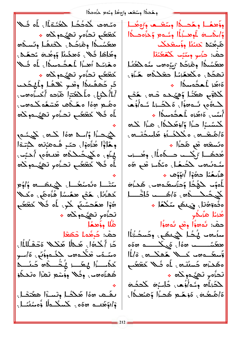وهُدمُا ومُعْهَد وَرُوهُا وِئُومِ حَزْودهُا

هَـُـهِ صَـ لَهُدُدًا لِلطُنَةِ مِّلْلٍ لَمَ فَــلا لخقعُب تَحزُّه، تَعيُّموكُم \* هِهَٰنُنَدُا وَهْزَكُمْ. حَدْبُطُ وَيُسَمُّهِ وِهَٰاهَا شَلا . هُمحنَّىنًا وُوِهُــ نَهَــهُــمَــه. مِمْتِكُمْ أَهْدُرُا لْمُحْسَمِيهِ أَنْ ذَلِكَ الْمُسَمَّلُ لمغتف تحزُّه وصَفَى الله عنه عنه دِّ دُهفَىلاً وقب تَكفُّا ولْهضَب أَلِمَأْكُمْ بِي مِلْكَفَتِهِ الْهَوْدِ أَيُحْدُوهِ . ههُم مؤال معَكْمَه هُنتَمُّه كَدهه. لَمْ ثَمَلا كَفَعَقَبٍ تَصَنُوهِ تَعَيَّدِهِ كَلَاه مصنوعًا وَاسِمَ 5% لَكُمْ مِنْ الْمَسْمِرْكَمْ وِهَارْٓا هُنُّووْا. حمّ فُ9عُرْتُه ۖ جُتَّ1 لَيَّةٍ. مَكَّلْ صُّلْمُهُ مُعْلَمُهِ أَحَبَّب. لَمْ ثَمَلا كَفَقَصُم تَصَنُوم تَعَيَّدُو كَلَهَ مَثْلُ الْمُسْتَعَلِّ الْمُسْتَمَرِينَ مِنْ مَسْتَمَرَّةٍ مِنْ مَسْتَمَرَّةٍ مِنْ مَنْ مَنْ مَنْ مَ كَعْزُلًا. هُثْمٍ هَمْسُلْ فُزُّهِمٍّ. هَكُلا هُوْا همُحسَّىٍّ كُنْ أَه ثَلا كَقْعََى ثحثهم ثعثىءولاته \* هُلَّا وِؤْهِمُا حفَ: حُرْهُما حُقْعُا حّز أَكْشًا. هَٰكِلًا هَٰكُكُ هَٰتَـفَـُلللًا. ەممْـەًما ھْتَكْـەھما كْلْـەوۈْبُ: ەُ/مىر كَمُسْتُمْ الْمَحْمَدِ فِي تُصْبِكُمْ هَا مُسْبِكُمْ هُڪِتُوهب. وشَلا وؤُسْع تصْرَا وتحِكُوْ بِفَيْتِ هِوْا هُكْشًا وِيْسِرًا هِهُتِمْلَ. ۋابۇھُىسە «ەَە. ݣْبْيْشْمالْا ۋْەمْئْشْل وؤهما ومحددا ومنعد وزوميا وَٱلْمُسْرَفَ لَمُوهَبَٰٓئُمَا وِشُوهِ وَجَزَّوهِ كَلَّا هُرِهُكُمْ تَعْلَمُلُّ وِوَّسْقَعْكُمْ حقَّ: حَنُّبٍ وَسَّبُتَ كَتَعَكِّنْنَا معكسكا وشزحك ترجءهم مثمكعتنا تَعَجَّهُ. مَكْعَمَّنْهَا حَثْكُمُ هَـُزُوْ. كَاهُدْ لْمُحْمِيماً ﴾ كَلاَتْمِ هِمَيْاً وَهِيَ دَهِ مُ مَدْمِ لِهُ مَا شَدْهُ وَاْلِ وَلَكُ زَالَ شَدَارُوْهَا أَمِنًى ﴾ وَاهَٰذِهِ لِمُعشَفِعِيداً ﴾ كْسُسْرًا حِزًا وَإِوْهَكِكَا. هِزًا كَلِمَ ەُ/ھُىھْــە . ەڭلائــارۇ ھُامىئىتــە . ەئىيغە قى ھُدا ؛ مْعلُمه للصُمُّا. مَكْلُّ: هُمْ هُه وَيُسْمَدُ دَوُوْا أَاوُوَى \* لَمَوۡفَ الْمُحُلُّ وَحَتَّمَعَنَدہ وَ اللَّهُ عَلَيۡ اللَّهُ وَ كَيحُمْكَ حُرْهِ . هُ/هُـــــه هُلْتَــــا \* الْمُكْمَد رِضْدِنَ . الْأَمَّاءَ هُ | هُـٰٓ; مُا هُنَّكُمْ ۖ حقَّ: شَهُوْا وِهْمِ شَهُوْا مَالَّبُّ عَمَدَ بِمَعْدِيَّةٍ مِسَائِد  $\cos \theta$   $\cos \theta$   $\sin \theta$ ەھَدْ;ە خَسْلاھ. مُا فَىلا كَقْعَب أتحزُّهم تَعيُّموكُمْ \* لْكُنْلُو وِشُهْ/وُهِ). كَاسْرُوْ لْكُحْشُرْهِ ەُ/ھُىھُـز، وَذِهُـْمِ هُجِـزُا وَهِنْعِـدًا.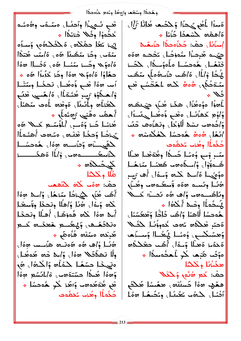وهُدمُّا ومُعْمَد وَوَعُدا وِيُوم حَزْودهُا

هَــِ نُــمِيةُ! وِأَحِنُـاً. مِمْــهُــ وِرُّهِمْــُـم حُثُووُا وِثُلا تَـٰٓتُكُا \* لَىٰ: تَعُلَّا حَقُلُهُ . هَ لَكُلْمُوْمٍ وَمِسْرُه مَدَّف, وِجَز مَعْصَلًا 60, 16مَّد هُتَمَّا كَادَوْكَ وَحَسَنَ مَنْسًا هُوَ . هُجُسًا ا حَقَلُوا وَأَدْوَى مِنْ أَوْجَدَ كَلَمْنَا رَهُو \* أمد هؤا قب وُوقُصا. تحمُّا وِمَتْسَا وْاهِكُوْوْ رُسِّ هُنْتَهْاً. هَاهُسِي هُنَّ لِكْعُزِيْلُهِ ۚ وِيَأْتُبِيًا ﴾ وَوَقَدِهِ الْمُحَتَّ مَحْجَدًا ﴾ أهقُه مِكْتِي رُهِئُها \* هُذِيبًا جَبْ وَوَّبٍ. أَلْمُؤْمِّدُ لَا حَمْلاً وَهُ و لْمَرْحُلِ وُحِجُلِ هُنْسٌ وَصُوحِ الْعِنْجِلِ لِحَمِّي آهُ وَحَزَّم مِنْ الْمُحَمَّلِ الْمُحَمَّلِ لأسعَد معد والمُ أو مكتب: كَبِي حَسْلَهُ هُ مُلا وتحكار حقَّ: «هُ لَاهُ لَمْكُمُ أَهًا هُنَّ لَكَيْ وَالْمُؤْمَنَ وَالْمَسْلَمَ اللَّهُ مِنْ الْمَلْمَنِينَ وَالْمَسْلَمَ لكِهِ وَمَاْلِ هُنُا وُاهِلًا وِتَحِدًا وِقُمِعْدًا أَىهِ هِهُمْ كَلُّوهُ هُوَهُمْ أَهْلًا وِتَحِمْدُ ەتكككى ئېگىگىلى ھىمتى كلى هُرِبُدِهِ مَمْلَهِ فُنُهِ هُمْ \* هُنُّا وُاُ هُ هُ هُ هُ مُسْد هُ عَبْدِ اللَّهُ . وِلًا نَعِكْكُمْ هَءًا. وُ} هُ دُه هُوهُما. وَهُ بِاهْكُمْ وَالْمُكُمْ لَحُمْلُوا وَالْمُحَمَّدُ وَالْمُحَمَّدُ وَالْمُحَمَّدَةِ وَالْمُحَمَّدَة وَّههُ المُعَدَّا حَمَّتَهُهُ وَالْمُتَّمَّمُ هَذَا هُمْ هُتُوَهُدُوهِ وَاهُدْ كُلِّ هُدَهَمًا \* كُنُّه لَٰهُ وهُن كُنفُوت

هُمِدًا لَمَعْ يَحِدُا وَحَكَمِ هَٰاتًا تُزْلَ هُ/هِمْهِ لِمُنْعَمُا دُرُمُا \* إِسْرَبْلَ. حقَّ: كَجَرُّوحِهُ احَبَّسَهُ جيء هُرجرُ السُّموْجُل. حُجْجه 300 تَتَعُـا. حُوصُـا ولُومَِـدُا. كَحَــز لْهُدًا وْٱلْمَا. هْٱهْم تْنَسّْهُمْلُ مّْتُفْعَ سَّةَحُكُمْ. وهُورة كَلَّهُ لَمَّضَمْعٍ هُمِ ئىلا پىر الَّهُمَّا وَوَّوَهُمْ وَالْجَمْعَ مِنْ مَنْ الْمَرْكَبَةِ مِنْ مِنْ مِنْ مِنْ مِنْ مِنْ وُٱوْمِ كَعَزَّنَا. وقَبِ وَوَهُما كَشَرًا. وُٱحْدَهَ لَسْلَا لِّلْوَكُلَّ. وِنْعَزُّوهَا خَفَّ أَبُعُلُ. ۞و۞ هُوصِمُلْ كَعُكُومَة ۞ |ضُذُماُ| وهُزم مُحفَّدت مَّــرِ وۡــــرٖ وُہۦُــا حَـــدُا وِهُـٰٓةَهَــا هــُلا هُدُوْدًا. وَٱكْمُعْدَمَ هُعْشًا مُنْهَا دَوْدِي الْمُكْلِمُ كَلِّدِهِ وَمَـدًا. أَهْ رَبِّ هُنُّا وِنَست هَهُه وَّسْعَده، وَهُنَّهُ وِيَاهُمِدِهِ وَاحِدٍ هُوَ يَحْدَرْا لَحَدُوا يُبِحُدِيُّا وِجْبِهِ أَيْحُدُّا \* ِ هُوجِسُا لُاهِيُا وُ/هُبِ جُاجَّا وُقِعِكْسُيَا. ەُحَمَّرِ شَكْلُهِ مُهِدَ شُدُوؤُكُمْ لَحْشَلًا وَهِمَنْكُمْسِي. وُهْشَار كَتْخُلّا وَمِسْتَهْ هُدَمَ: هُمثَلَا وَمدُا. أَهُم حَمْدَ وَه ەۆِكَ ھَرْھَ كُر لْمَحُمْسَلًا ﴾ |مكُنُّنًا وكَلَّمًا حقَّ: كُمْ هُنُمْ وَلَحْدًا ھَمْھِ 1ہُ/ کَسْلُاہ ِ. ھمَسُل ھُلاَکُم أَدُّمَا. كَلَّهُ عَعَّمْلَا. وِمَحَْكُمَا 20\$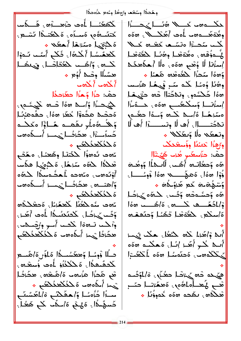وهُددًا ومُعْمَد ورُوهُا وِمُوم حزَّودهُا

كتفعَّم المود دو الله عليه المستوى المستوى كتئىگە ئەسەر. ئىلگتىدا ئىسى كالأزم أله بنما أحكمه و لْكَعِنَّمَسْلَ أَنْكُرُهُ لِ ذَكَٰلٍ أَمَّت سَوْءٍ لَا تَكْتُرُو بِهِ وَأَرْهَبَ حَكَمَتُكُمْ مَسْتَمَرٍ وَسَلَمَتُكُمْ مِنْ مَسْتَمَرٍ هسَّىلًا وشَّدْ أُوُمْ ﴾ حقَّ: جَزَا وَجَزَا حَعَّزَجَجًا حيديًا وَإِسلامِ مِنْ أَحْدِهِ كَمِيشُمْ. ەُحثىم ھِثُوۋَا غُعَّز ھەُل. ھِفُومُرُنَّا وَلِلْكُ رُهُ مِنْهُ مِنْ مِنْ الْمُؤَلِّلَ مَحْلَكُمْ مِنْ مَنْ الْمَرْكَبَ كَسْتَطِيبُ مِحْزِئُمِيلِ مِنْ أَسْلَمُوهَمْ ەللگىنگىشى ، كَهِ تَوَهُوا ۚ لَكُنْتُنَا ۚ وِهُعَنَا ﴾ وَهُعَنَا وَهُمَا وَهُمْ تَعْلَمُ الْمَوْهِ مُنْهَا. هَكْوَيْهَا هِكَمْسَ أَوْلَى هَمْ وَلَى مَا مِنْ مِنْ مِنْ الْمُدَّعْدِهِ مِنْ الْمَدْرَةُ وَلَى مِنْ الْمَرْكَةِ وَلَى م وَأَحْسَسُهِ . هَدَّرْتُمَا إِسْمِ أَمْسَكُوهِ ەلملكىنىڭلىشى ، مُهد مُه لهُما لَاهِمُ; مُ الله عَكْمَةُ وَّحَــٰ يُجْحَـلَ. يَكْحَنَّحْنُــدُّا لِمُّوَت أَهَدَ . وألحمه تسحقا كلصه أسو ورُجْمكم. هضَرْطًا يَهِمْ أَسْلَاهِ هَ لِلْمُلْكَفِلَاهُم حبلًا وْمِسًا وَهِجْسُمِيْكُمْ وَلَوْنَ وَاهْتِهِمْ كْحِفّْىعِكْلَ. هَٰ حَكْكُنُوْ لِمُوت وُسِعْتِهِ . هُم هَٰدُا هُ; و )هُ هُ ) هُ هُ و و عَدْدُ ا Jui Johor d'Aldelding مسأا حُزُّه صُلَّ وَالْعَفَيْكُمْ وَالْمُحَسَّبُ خَسمُمَاً. ەَلِثَى ەُسْمُتْ كُلِّ ھَعُلْ.

حكمہ میں كم اللہ من اللہ حسن اللہ وَهُتَمَكْتُ وَمَا الْمَحْمَدِ الْمَكْسَمَةِ ﴾ . (200 كب مُحبَّل وتمَّت كَعْدِهِ كِتَلَا لُےؤُفُو . ہِ مُّقْعَدا وِہُنَا ۖ كَعُّفْقَد إِسْتُرَا لَا وُتَعَبَّ 700 . هَلَا أَحْكَاهِكُمْ وَ«هَ) مَحَرُّا لِحَقَّوْهُ وَهُمُّا \* وَهُنَا وُهِنَا كُمْ مَمْعٍ فَيَهْمَا هِنُمْسِت هِهُمْ كَحْشُوبِ وِتَحْكُمْلَ دْهِ حَتَّىهُمْ إمثر المستكل المسلم الله والمستنبذة ممُنشَر أَسْدِ كُنْ وَسَدًا حَقَّمٍ تَكْتَبَ إِلَى أَوْ لَا وَتَسَبَّدُوا أُفْ لَا وتعقلا هألم وَّبعُثَلا \* وَإِجْرًا تَنسُلُ وِوَمِيقَنِكُمْ حقَّ: حَتَّمَعَّبِ هُزَمَ هَيْتَنَالَ هُه وُحعُلْهُ مُ أُهُّبٌ. لَّالَــــامَاْ وُوِهُـــة ذُوْلَ هؤا ، وَحِدِّ مِنْ هؤا وْوِئْسِيلَ. وُسْكُرْهُ مِنْ كُمْ هُدْؤُمِكُنْ \* هُه وُحِسْدَدُه وُحُـب. كَــهُه جُـنَكُــا  $160$   $-615$ .  $-2$   $-617$ ة/مكع. حَقَّةهُما تَعْمُلْ وَحِنَّصْهُ م أَبِي وَاهَٰذِا لَكُمْ لِمُتَعَالِ هَكُمْ لَيُمِيز أىك كُبِ أُهَٰذِ إِنَهِ ، هُ هِكْسِهِ هِهُهِ اتَكْلَدُهَا وَهُمَا لَمُعَلَّمَةً مِنَّا مِنْ الْمَسْرَةِ هَمْهَاهُ . وَتَكْتَبَهُمْ أَسْتَرَى مِنْ هَالِمَجْمَعَ قب لمُعْدَاهَاهُورٍ. هُعْمَّتْدَا حَسَرِ هَكُلُهِ . بِمُعْجَم هِهُم خُمْوِزُنَا \*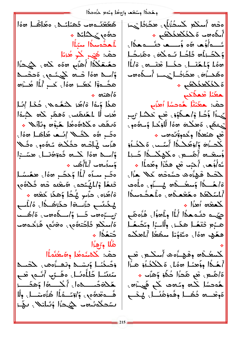وهَّددًا ومَنْعْم ورُوهُا وِمُوم حزَّودهُا

ەدە أمكە كمىدُبُّكْ. ھدَرْدُا يْهَدَ هُهَٰنِدَـُـهِ مِن دَهِمُا مُـمِّـمٍ وَهَاتِهَــا مِهَا أىكاه0 كَ كَتْكَعْتْكْتْبْ \* دە ئەككىر بەھ ثَمَّةُ أُوُّهَا وَّهُ وَّمَسْهَا فَشَمْعَهُمْ ۖ إِنْ الْمَدْوِيمْ الْمُتَوَارِي حق: هُيْمٍ لَمْ هُنْمًا وَحِكْـ زِلْمَ دَّاحُــا سُــه كُـرَه . مِكْنِـحُــا حَمُّمَكُمُ الْهَنَّى 300 كُلُّهِ. كَيْحَنُّا هِهُمْ ذَلِكُتْمَا. حَكُمْ هُتَسْمٍ. وَٱلْمَلَا ەھْكساْ، ھكْزْكْسا ئىسىز أَسىلاھە وَّاسِمْ مِهْمَا دَسِيمَ مِسْمِهِ. وَحَصَّــِهِ |ەللگلانگىم ھ هَشُـُـهُواْ يُحَكَّــز 30\$. كَــرِ أَلَما هُـــرُ30  $\cdot$   $\circ$   $\circ$   $\circ$ معَمَّا مْمَآتِ حفَ: هَمْنُنْا هُودسُا أَهْبَمِ هذَا وَحَا وَاهَ: حَقَومِ فَقَا إِنَّا هُ: لَا الصَّصَّبِ. هُعِمَّ كَلَّهِ كَلِّمَا ى أَل ذُكُرا وْلَمْكَاوُوْ. هُمْ تَحَكَّلْ رَبِّ يْ بِمَعْمِ . هَ مَسْكُنْ هُ أَمْ أَلْوَيْحَا وُسِنَّةً هُوَ . ەُبْقُتْ ەڭلاشەھُدا ھُنْزُھ وِئْلاً لَهُ \* ەكّىر ، ھۇ كْشَىلا إنْسْمَا ھَاتْقَالَ ھۇا. هُم هنُعدَاً وِيُدووُنَده » فَزْمِدٍ لِمَانَـْدِهِ حَفَكْـْهِ مُـُهُومٍ. وضُـلا ِكْحِبُرْهَ وُاوْهُكِـدُا أَمِّيَـبٍ. هَكْـدُوْ وَّاسِيا هوَّا كُنْ هُوَهُنْسَا. هِمَّشْرَا ؤسعْده أَهُدم. مكهكْدُا حُـزا خَهُ/ُوُهِ . أَحَبُّ شَي فَكَّرَا وِهَٰدِلًا ﴾ وَسَاءُدہ الْمَأَلَّٰفُ \* ەكْمِ مْسَأَهْ أَلَمَّا وَجْحَكَمِ هَارْ. هَمَّسُل للآصد قبئ وه حسَّوته لملا لعنَّا. ثَنِعُلُمْ وَٱلْمُرِيَّحَةِ ﴾ وَمُنْقَدِدٍ شَيْءٌ شَكْرُهُ مِ ة/هُــدًا وَسعُــدَ» لِـــزَوِ. هاه ةَ أَهَّذَهَ . حَنَّى لَهُكُمْ وَهِكَّرْ كَعْدُهِ \* أَعْمَلْهُمْ مَحْقَدُهُ . مِلْدَّدُمِدَا لكعقهه أهنأا \* لِحَمْنُبِ حَتَمَــةَا حَكَتِهُــدًا. هُالْمَبِ ْدَىٰ؎ دىئەھكا اُلْمَا وِلْھۇا. فْزُەھَــمْ تن موجود من الله على الله على الله على الله على الله على الله على الله على الله على الله على الله عل ەُ مىڭلار ئىلگتىۋە . مەشى ھۇگىمەت هــُو دْتْعُــا هكَــٰ: وِلْاَـــُرَا وِكَحُـمُــا فَعَلَى 10\$. دَثَةَوُتَا مَتَفَعَّا ٱلْمَكْلُمُ دُّتْمُكُلُّ \* هُلًا وَرَجْزًا حف: ݣَكْمْنُوهُا وهَيْعُلْهَاْ وَحُبِّخُتُنَا وَيَسْبِطْ وِيْفَوْءُوهَا فِي حَجْمَيْطِ أَهُـٰهُا وِؤَهنـُـا 1،6%. هَـٰذُكُـُاوْ هـُزَا مَّسَّمًا خَلَفُوسًا. وَفَــرَّبِ أَنَّــهِ هَــمِ هُ/هَيع. هَم هَجُرُا جُلَاءِ وَهِنَبٍ \* هَجْهُ حَمِيدِهِ أَنْ كُمْسَرْهُ أَ وَهِجَمْسِيز هُوصُل كُله وِمُهِ مَا فَيْ أَيْهِ مَ ەُوھْـــدە دُھُـــا وِڤُەزەھُنُــا. لىكـــو فُــوهُوهِ , وَ/وَيَــوُلاْ هُنُّومُــولًا و بَمُحَكَّدَيُّومَ ۖ جُهْجَزًا ۖ وُتُبَاتِكا ۚ. بَهْـز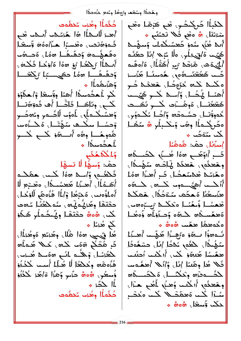وهُددًا ومُعْمَد ورُوهُا وِدُوم حَزْودهُا

كُنْمَلُّا وهُزم مُحفَّدت أهد: لَّاسِكْلًا هَٰا هُنْكُمْتِ أَسْمَتْ شَبِي ضُموْهُتَصَاءِ وَهُنَيْرًا حَذَّاهُ أَوْ وَجَعَتْنَا ەقھۇسەن ۆدقىقىل ھەل. ەدىئەت أَسْطَأَا رُبِّكْمَا رُوْ 1هُ أَهْ أَوْكُمَا شُكْتُو. وَحقَىفُــا ھەُ احتَّى ـــزا رُبْحَقَـــا وَهِنَّمِهُم<sup>اً</sup> \* لْحَدٍ لِمَحْدَمِيكُمْ أَهْلَا وِوَّسِعْدَ وْإِحِكْرَوْ كُبِ. وبُلْقَــا دُاتْــا أُه ثُووّهُنَــا وٌهشَنگـه)ٌ. ۦڵؙ٥ۅٜٞٮ ڵٲڞٞـڡڔۥۅٜػ٥ڞؙـڔ وْحِسُطْ مِيكْدِ مُجْتَدَانِ وَجَدْءُومِياً هُومِهُــا وِرُهُ أَيـــرَهُ كَيْـــرٍ كُنـــرٍ أهدُه ممارك و وَالْحَمْعُبُ حقَّ: وُسَهْلَ لَا تَسَهْلَ ثَلِقُومٍ وَٱلْهُمْ هُمَا يَكْتَبَ هَقَلَهُمْ أَتْقَــدُاْلِ أَهْــزُا هُهْمُــدًا. وَهْــْرَمْ لَلْ أُهلؤُوب هُجْرُهُا وْٱلْمَا فُزُوهُمْ لَافْحُلْ. حقتقًا وِهَٰزِيُّمِيُّهِ . مِنْمَكْفُنَّا عُلِمَت ىڭد. ۋەۋ چىتىقىل وپُيچىملُر ھَىلُو ∑ هُذ*نا ∻* هُدا فَيُحِيبِ 30\$ هُلّا. وِهُنكَمْ هُوهُنكُلْ. كَرِ هُتْكُمْ قَوَّى كُلُّهُ. كُلُّلاً هُـهِلُّه لحَعُّنَـٰاً. وَلِحُـُّـهِ لَمَـٰحِ 20 مَـٰحَمَّـ مُـنِى. فُزْهِقْهِ وِحُكْمُا لَّا هُـأَلَمْ أُمـب كُحُـأَوْ وَمعكُوبٍ وَأَدَوَّةٌ حَزَّىبٍ وَكِزًا ۚ وَأَهَدَ لَكَذُرُو أا حدَّ: \* كُنُه لُم هُذب مُحقَّدت

لْحَدّْبِلَا حُرِيْكُمْو. هُمْ هَزْهْلُ وَهْمِ شتِنْنَا. ۞ هُم ثُلا نَصْنُمِ \* أَبِي هُذَهِ مُدَوْ خَعِيَّيْتُكُمْتُ وَسَهَّيْتُ عَنْهُم النَّالِ مَبَّدَ الله بِهِلْمَرَةِ الصَّرْفَةَ أَلَيْهَ هِ. هُرْشُمْ رَبِّ أَهْقُلًا. هَ/وَهُـه كُــد هُهُقْتُسُــرُهُوبِ. هُومِيْـا هُذُـــ; ەڭلىم ئەھ ئۇۋۇسا. ھەقىم ئېر أَهْلَا لِمُكُلٌّ. وَٱلْكُلْ كُلُّو هَيْنَ الْمُحَمَّدُ هُقَعَمُنْــا. هُوِهُــتْو گُـــو تُنْفَــد لُدووُّتْ). حشَّدَدُه وَّاصُّا بُكْدُونٍ. ەكرېڭىمال وھى ۇيىلىرلىر ھ مىھىل لَّكَ مَّتَوَكَّبَ ﴾ إمبَّرُبُل. حقَّ: هُوهُنُل كَبِ أَاوَكَبِ 50\$ هُــَ بِ لِكَمِــدَّةٍ وهَعْدُو، هَعْدُهْ لْمَادْ مَكْهُمْاً. معَّنَـٰهُ شَهْسُعتُـا. ثَــِ أَهـٰأَا هَاءُ أألمسه أهدى وسيشوه لمستفاه هَزَسِعُنَا هَـمَحَم مَـتَوَجَّالِ هُـمَـكُـمَـ هُمسُلُ وُممُنْـل مَكْـدْ رَبِّءُ٥٥بَ كَعْصَمْسَةُ مِنْ دَوْيَةً وَحَسَنُوْمَا وَ وَوَهُمْ ا  $\ast$  800  $\ast$  200 لَه موزًا لِمَوْدٍ وَوَجِبًا هُدَّبِ أَهْلَهُمْ أَهْلَ مَكَهُمَا . حَعَقَ مُحَدًّا إِنَّا . حَسَنَّوَدًا همْسُلْ هُدْهُوْ لَكْبٍ. أَرْكُبْتِ أَصْلَبْ ثُلا هُا وِهَٰنا إِنّا. وَٱلْلا أَهِمْوِس لمُصْدِدْهِ وِبْيُسُمْلِ. هُلِكُسْلُهِ وِهْعِنُوْمِ أَالْحَلْبِ وُهِنُو لَمُعُمَّ هِـزَا. سُآل كُمْ هُمْهُشْلًا كُمْ هُدْم et de de de de de de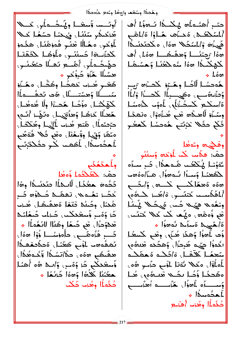وهُحمًا ومُعْقَد وَرُوهُا وِيُوم حَزْوجَهُ!

أُونَــْـب وَّٰىـْتَـٰـا وِيُّـِدُّــٰہِ]ٰبِ. كَـــٰلا هُزْكُمْ مُنْشَا. وَيُحْسَلُ حَمَّهُا كَحَلَّا لَمْوَكُوبِ مَصَّالًا هَنُو فُوهُنُا مِعْشُور كْدَتُوهَا حُسسُنِ وأَوْهُا كَدَّقْنَا دَهُندُه أَمْ، أَهُنتُم نَفسُلَا دَهُنتُس. ھسًىلًا جَنَّوْ خَرْفُكُو \* هُعْبِ هُـ; ``تَعَضُّا وِهُتَّا. مَكَّزُو مَّمَـــــلًا وَهمَّتَـــــلَّا. هَد تَحفُـــدلَّا كَوّْكُمْهِ ، هَوۡكُمُ هَٰدَ ۚرَا وِلًا هُءمُمَا . هَعْمَا خَرْهُمْ وَهِزْقَهْمِ إِلَى مِنْهَا وَالْكُمْ دَ حَمْدَهُ أَلْ. هُنْع هُدن لِمُلْإِيما وهُنْدْتَ أَ. ەڭگۈ بۆي بۇ ھُلل ەھم ئىلا قەھُم ٱهثُمسكُا. أَهْمَى كُبِرِ حثَكْثَرُبُبِ وأحتمُنًى حفَّ: لَهُكْثُما وُوهُل كَحُّەن حِعْكُل لَّاسكلُّا مِنْدَسُـكُا وِرَّا مُحَّــ; تَعُــم بْ. تَعصَّــه حُـــهْوْهِ حَـــر هُدْا. وِحُسُلا ثَتَمْا هُمْفُىغَا. هُـزب كَرْ وَمَسِ وَسِعْدِكْتِ. كَرْلَمَا كَتْعَائِكَ هَداوُحزًا. هَي حُيمًا وِهُنُاا لِلنُعْمِلَا \* كُبِّ فُنُوهَبٍ. حَلَّوْمُمُكُمْ وَٰٓوْا وَوَّا. تُعفُّوه لمُوَّى تَعطَّىلُ. هُحكَّدَهُ هُلُّ هقَىقَى «ەَهْ. حَذَّاتْسُكُا وَّكُـەمُكُا. ؤَسِعْدَكُمْ خَزْ وُهُبْرٍ. وَٱللهُ ۞ أُهْدَأَ هَعَنْنُا ݣْلَاهُ ا وَهُ أَوْ حَرْبُهُا ﴾ كُثْمَاْل وهُزم كُكْم حِمْمِ أَهْشُمْلُهِ ۖ لَمِكْمِكُمْ لَا تَهِ ذَلِكَ أَهَـ أَلْمَحْكَمْ. هَجِّرَه هَاؤُا هَالمَّحْ فَيْءَةَ وَالْمَنْكُلا هَ أَلْ مَكْتَنَدْمَا أَ 160 أُجِئْنُــا وُهِقَىعُــا 160. أُف كُمِكْنَدُا 1،0% مُدَكْفُنَا وَحَسَّمَا  $\cdot$   $L^2$  or ـمُّەحسُــا لَّاصُــا وِـمَّــَرْو لَكَحــْرَه رَبِــرِ وَدَّسَةَ بِ وَهْيَ إِلَّا لَكَمَ أَوْ إِلَيْهِ أَ ەُ مىڭھ كىسكتۇلى. ئاەۋب بازەمئىل وِمَمْ أَوْ لَاهِـدْهِ مْبَ هُــُّوَوْلَ. وتَعَمَّـل ثَكَمْ حثَلًا تَبُتُم هُءحسًا كَعفُ وقثيره وتمفعل حقَّا: فَلَمْتَ لَكُمْ لَمُؤَكَّدَهُ وَمَثَّلُوا ثَةُوُسًا يُتْكَفَّب هُـهِـهُمْلَ. كَـرِ مِــرَه للكعنا وُسِيرًا شُوهورًا. هيزًاوة هب هؤه ةهكالكب كم هو. وَاحَصَب أَلْمَكْمُمْسِدٍ كَتْنَفْسِرٍ. ةَاهَدْ: كَمَدُّوهِ) المُدْلِمَ الْكَرِهِ مِنْ الرَّحِهِ الامِقْةِ، مْعِ وْهِڤُه. هِكْمُ كُمْدْ *كْمْلا* كَتْتَمْبْ. \* أَمْعَمِيهِمْ مُسْلَمِهِ نُورُواْ \* وَّد لِمُعوَّلُ وَهِكَرْ هُنَّى. وَهُم كَسْعَد الْكُوزُا كِيْءٍ هُرِجْزًا. وُهكُكُمْ هْلِيُوْمِ مَعمُا كَلْقَا. هُ/كَكُمْ هُمْكُمْ لَمَاٰوَّاً. مَكْلًا تُفْلَأُ لَمُوْبٍ حَنُسٍ هُوَ. ەھّحكا ؤُحُـا ىكَــلا قىلــۋەل. ھُــا وَمسسدٌه عُرُوهُمْ فَيَمْسِد أَهْزَسِبِ \* Krózal كُنُماُل وهُزم أُقْزَمِ